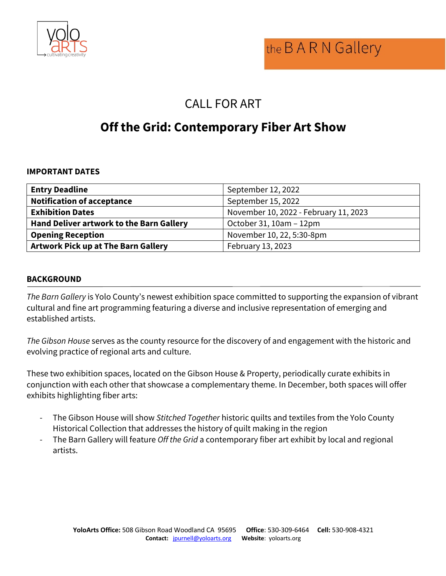

# CALL FOR ART

# **Off the Grid: Contemporary Fiber Art Show**

#### **IMPORTANT DATES**

| <b>Entry Deadline</b>                           | September 12, 2022                    |
|-------------------------------------------------|---------------------------------------|
| <b>Notification of acceptance</b>               | September 15, 2022                    |
| <b>Exhibition Dates</b>                         | November 10, 2022 - February 11, 2023 |
| <b>Hand Deliver artwork to the Barn Gallery</b> | October 31, 10am - 12pm               |
| <b>Opening Reception</b>                        | November 10, 22, 5:30-8pm             |
| <b>Artwork Pick up at The Barn Gallery</b>      | February 13, 2023                     |

#### **BACKGROUND**

*The Barn Gallery* is Yolo County's newest exhibition space committed to supporting the expansion of vibrant cultural and fine art programming featuring a diverse and inclusive representation of emerging and established artists.

*The Gibson House* serves as the county resource for the discovery of and engagement with the historic and evolving practice of regional arts and culture.

These two exhibition spaces, located on the Gibson House & Property, periodically curate exhibits in conjunction with each other that showcase a complementary theme. In December, both spaces will offer exhibits highlighting fiber arts:

- The Gibson House will show *Stitched Together* historic quilts and textiles from the Yolo County Historical Collection that addresses the history of quilt making in the region
- The Barn Gallery will feature *Off the Grid* a contemporary fiber art exhibit by local and regional artists.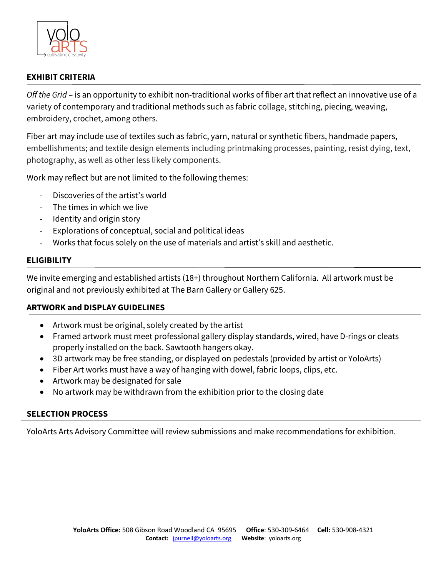

## **EXHIBIT CRITERIA**

*Off the Grid* – is an opportunity to exhibit non-traditional works of fiber art that reflect an innovative use of a variety of contemporary and traditional methods such as fabric collage, stitching, piecing, weaving, embroidery, crochet, among others.

Fiber art may include use of textiles such as fabric, yarn, natural or synthetic fibers, handmade papers, embellishments; and textile design elements including printmaking processes, painting, resist dying, text, photography, as well as other less likely components.

Work may reflect but are not limited to the following themes:

- Discoveries of the artist's world
- The times in which we live
- Identity and origin story
- Explorations of conceptual, social and political ideas
- Works that focus solely on the use of materials and artist's skill and aesthetic.

## **ELIGIBILITY**

We invite emerging and established artists (18+) throughout Northern California. All artwork must be original and not previously exhibited at The Barn Gallery or Gallery 625.

## **ARTWORK and DISPLAY GUIDELINES**

- Artwork must be original, solely created by the artist
- Framed artwork must meet professional gallery display standards, wired, have D-rings or cleats properly installed on the back. Sawtooth hangers okay.
- 3D artwork may be free standing, or displayed on pedestals (provided by artist or YoloArts)
- Fiber Art works must have a way of hanging with dowel, fabric loops, clips, etc.
- Artwork may be designated for sale
- No artwork may be withdrawn from the exhibition prior to the closing date

## **SELECTION PROCESS**

YoloArts Arts Advisory Committee will review submissions and make recommendations for exhibition.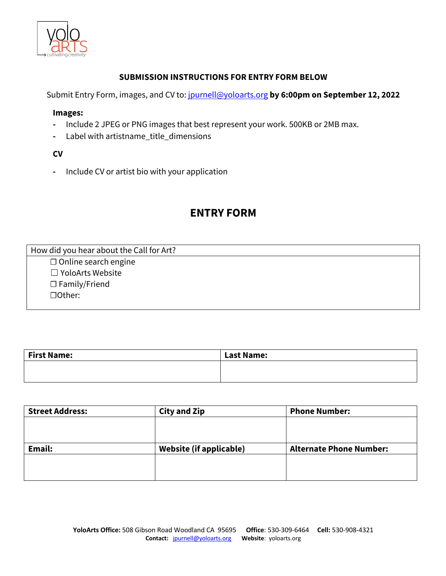

#### **SUBMISSION INSTRUCTIONS FOR ENTRY FORM BELOW**

Submit Entry Form, images, and CV to: jpurnell@yoloarts.org **by 6:00pm on September 12, 2022**

#### **Images:**

- **-** Include 2 JPEG or PNG images that best represent your work. 500KB or 2MB max.
- **-** Label with artistname\_title\_dimensions

#### **CV**

**-** Include CV or artist bio with your application

# **ENTRY FORM**

How did you hear about the Call for Art?

 ☐ Online search engine ☐ YoloArts Website ☐ Family/Friend ☐Other:

| <b>First Name:</b> | <b>Last Name:</b> |
|--------------------|-------------------|
|                    |                   |
|                    |                   |

| <b>Street Address:</b> | <b>City and Zip</b>            | <b>Phone Number:</b>           |
|------------------------|--------------------------------|--------------------------------|
|                        |                                |                                |
|                        |                                |                                |
| Email:                 | <b>Website (if applicable)</b> | <b>Alternate Phone Number:</b> |
|                        |                                |                                |
|                        |                                |                                |